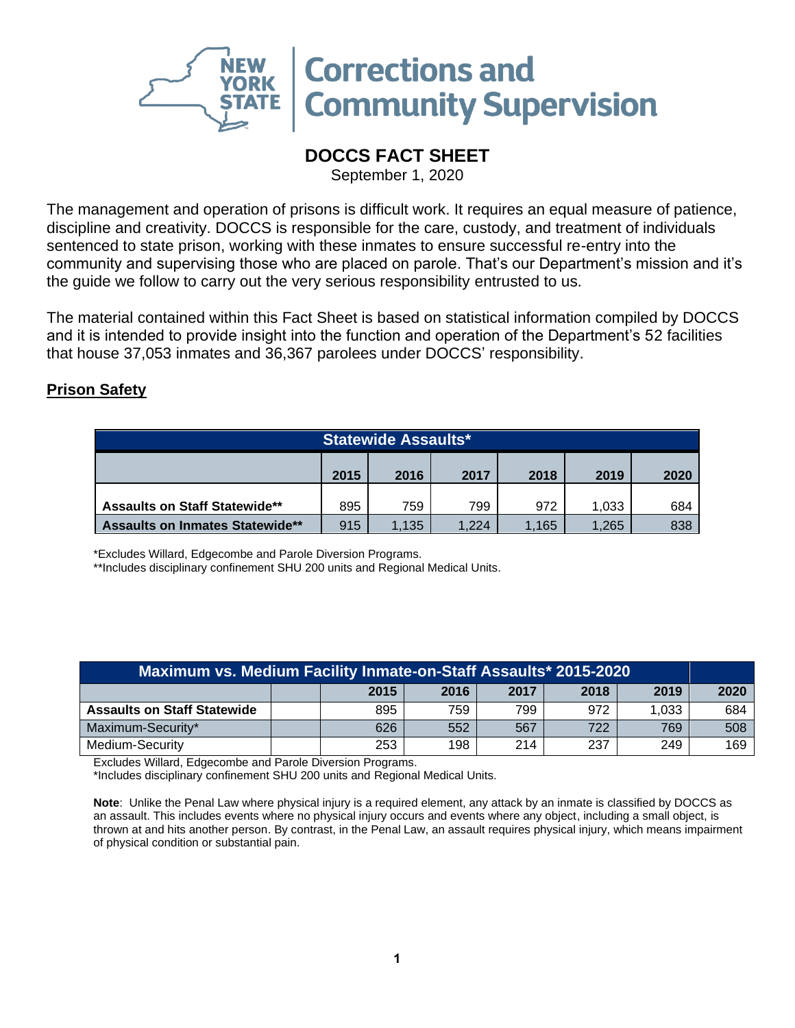

## **DOCCS FACT SHEET**

September 1, 2020

The management and operation of prisons is difficult work. It requires an equal measure of patience, discipline and creativity. DOCCS is responsible for the care, custody, and treatment of individuals sentenced to state prison, working with these inmates to ensure successful re-entry into the community and supervising those who are placed on parole. That's our Department's mission and it's the guide we follow to carry out the very serious responsibility entrusted to us.

The material contained within this Fact Sheet is based on statistical information compiled by DOCCS and it is intended to provide insight into the function and operation of the Department's 52 facilities that house 37,053 inmates and 36,367 parolees under DOCCS' responsibility.

## **Prison Safety**

| <b>Statewide Assaults*</b>                   |     |       |       |      |       |     |
|----------------------------------------------|-----|-------|-------|------|-------|-----|
| 2015<br>2017<br>2019<br>2016<br>2018<br>2020 |     |       |       |      |       |     |
| <b>Assaults on Staff Statewide**</b>         | 895 | 759   | 799   | 972  | 1.033 | 684 |
| <b>Assaults on Inmates Statewide**</b>       | 915 | 1,135 | 1.224 | .165 | 1.265 | 838 |

\*Excludes Willard, Edgecombe and Parole Diversion Programs.

\*\*Includes disciplinary confinement SHU 200 units and Regional Medical Units.

| Maximum vs. Medium Facility Inmate-on-Staff Assaults* 2015-2020 |  |                                      |     |     |     |       |     |  |
|-----------------------------------------------------------------|--|--------------------------------------|-----|-----|-----|-------|-----|--|
|                                                                 |  | 2017<br>2018<br>2019<br>2015<br>2016 |     |     |     |       |     |  |
| <b>Assaults on Staff Statewide</b>                              |  | 895                                  | 759 | 799 | 972 | 1,033 | 684 |  |
| Maximum-Security*                                               |  | 626                                  | 552 | 567 | 722 | 769   | 508 |  |
| Medium-Security                                                 |  | 253                                  | 198 | 214 | 237 | 249   | 169 |  |

Excludes Willard, Edgecombe and Parole Diversion Programs.

\*Includes disciplinary confinement SHU 200 units and Regional Medical Units.

**Note**: Unlike the Penal Law where physical injury is a required element, any attack by an inmate is classified by DOCCS as an assault. This includes events where no physical injury occurs and events where any object, including a small object, is thrown at and hits another person. By contrast, in the Penal Law, an assault requires physical injury, which means impairment of physical condition or substantial pain.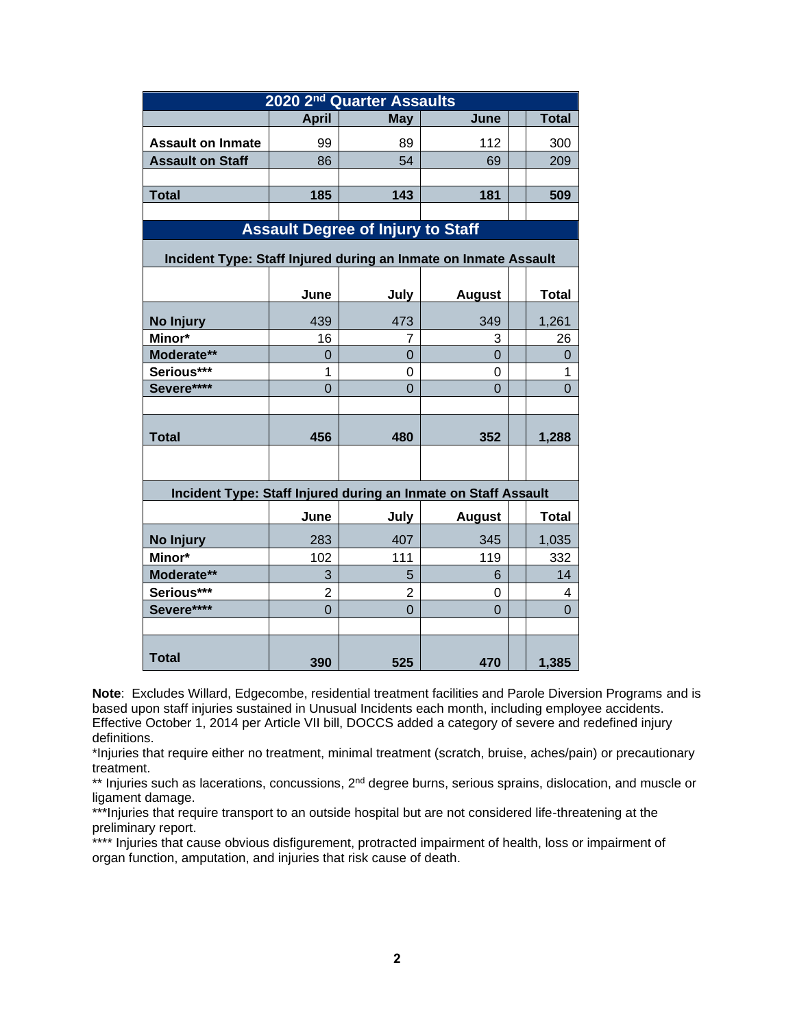|                                                                 |                | 2020 2 <sup>nd</sup> Quarter Assaults    |                     |                     |
|-----------------------------------------------------------------|----------------|------------------------------------------|---------------------|---------------------|
|                                                                 | <b>April</b>   | <b>May</b>                               | June                | <b>Total</b>        |
| <b>Assault on Inmate</b>                                        | 99             | 89                                       | 112                 | 300                 |
| <b>Assault on Staff</b>                                         | 86             | 54                                       | 69                  | 209                 |
|                                                                 |                |                                          |                     |                     |
| <b>Total</b>                                                    | 185            | 143                                      | 181                 | 509                 |
|                                                                 |                |                                          |                     |                     |
|                                                                 |                | <b>Assault Degree of Injury to Staff</b> |                     |                     |
| Incident Type: Staff Injured during an Inmate on Inmate Assault |                |                                          |                     |                     |
|                                                                 | June           | July                                     | <b>August</b>       | <b>Total</b>        |
|                                                                 |                |                                          |                     |                     |
| No Injury                                                       | 439            | 473                                      | 349                 | 1,261               |
| Minor*                                                          | 16             | 7                                        | 3<br>$\overline{0}$ | 26                  |
| Moderate**<br>Serious***                                        | 0<br>1         | 0<br>0                                   | 0                   | $\overline{0}$<br>1 |
| Severe****                                                      | $\overline{0}$ | $\overline{0}$                           | $\Omega$            | $\Omega$            |
|                                                                 |                |                                          |                     |                     |
|                                                                 |                |                                          |                     |                     |
| <b>Total</b>                                                    | 456            | 480                                      | 352                 | 1,288               |
|                                                                 |                |                                          |                     |                     |
| Incident Type: Staff Injured during an Inmate on Staff Assault  |                |                                          |                     |                     |
|                                                                 | June           | July                                     | <b>August</b>       | Total               |
| No Injury                                                       | 283            | 407                                      | 345                 | 1,035               |
| Minor*                                                          | 102            | 111                                      | 119                 | 332                 |
| Moderate**                                                      | 3              | 5                                        | 6                   | 14                  |
| Serious***                                                      | $\overline{2}$ | $\overline{2}$                           | 0                   | 4                   |
| Severe****                                                      | $\overline{0}$ | $\overline{0}$                           | $\overline{0}$      | $\Omega$            |
|                                                                 |                |                                          |                     |                     |
| <b>Total</b>                                                    | 390            | 525                                      | 470                 | 1,385               |

**Note**: Excludes Willard, Edgecombe, residential treatment facilities and Parole Diversion Programs and is based upon staff injuries sustained in Unusual Incidents each month, including employee accidents. Effective October 1, 2014 per Article VII bill, DOCCS added a category of severe and redefined injury definitions.

\*Injuries that require either no treatment, minimal treatment (scratch, bruise, aches/pain) or precautionary treatment.

\*\* Injuries such as lacerations, concussions, 2<sup>nd</sup> degree burns, serious sprains, dislocation, and muscle or ligament damage.

\*\*\*Injuries that require transport to an outside hospital but are not considered life-threatening at the preliminary report.

\*\*\*\* Injuries that cause obvious disfigurement, protracted impairment of health, loss or impairment of organ function, amputation, and injuries that risk cause of death.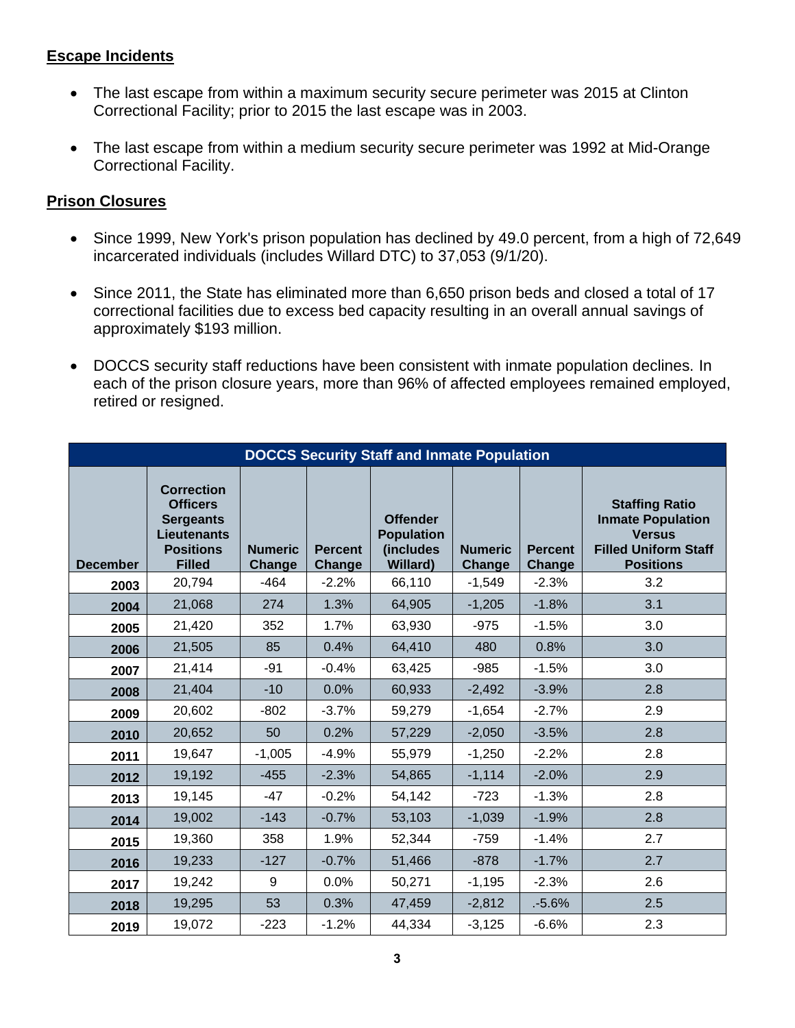## **Escape Incidents**

- The last escape from within a maximum security secure perimeter was 2015 at Clinton Correctional Facility; prior to 2015 the last escape was in 2003.
- The last escape from within a medium security secure perimeter was 1992 at Mid-Orange Correctional Facility.

## **Prison Closures**

- Since 1999, New York's prison population has declined by 49.0 percent, from a high of 72,649 incarcerated individuals (includes Willard DTC) to 37,053 (9/1/20).
- Since 2011, the State has eliminated more than 6,650 prison beds and closed a total of 17 correctional facilities due to excess bed capacity resulting in an overall annual savings of approximately \$193 million.
- DOCCS security staff reductions have been consistent with inmate population declines. In each of the prison closure years, more than 96% of affected employees remained employed, retired or resigned.

|                 |                                                                                                                     |                                 |                                 | <b>DOCCS Security Staff and Inmate Population</b>                     |                          |                                 |                                                                                                                       |
|-----------------|---------------------------------------------------------------------------------------------------------------------|---------------------------------|---------------------------------|-----------------------------------------------------------------------|--------------------------|---------------------------------|-----------------------------------------------------------------------------------------------------------------------|
| <b>December</b> | <b>Correction</b><br><b>Officers</b><br><b>Sergeants</b><br><b>Lieutenants</b><br><b>Positions</b><br><b>Filled</b> | <b>Numeric</b><br><b>Change</b> | <b>Percent</b><br><b>Change</b> | <b>Offender</b><br><b>Population</b><br>(includes<br><b>Willard</b> ) | <b>Numeric</b><br>Change | <b>Percent</b><br><b>Change</b> | <b>Staffing Ratio</b><br><b>Inmate Population</b><br><b>Versus</b><br><b>Filled Uniform Staff</b><br><b>Positions</b> |
| 2003            | 20,794                                                                                                              | $-464$                          | $-2.2%$                         | 66,110                                                                | $-1,549$                 | $-2.3%$                         | 3.2                                                                                                                   |
| 2004            | 21,068                                                                                                              | 274                             | 1.3%                            | 64,905                                                                | $-1,205$                 | $-1.8%$                         | 3.1                                                                                                                   |
| 2005            | 21,420                                                                                                              | 352                             | 1.7%                            | 63,930                                                                | $-975$                   | $-1.5%$                         | 3.0                                                                                                                   |
| 2006            | 21,505                                                                                                              | 85                              | 0.4%                            | 64,410                                                                | 480                      | 0.8%                            | 3.0                                                                                                                   |
| 2007            | 21,414                                                                                                              | $-91$                           | $-0.4%$                         | 63,425                                                                | $-985$                   | $-1.5%$                         | 3.0                                                                                                                   |
| 2008            | 21,404                                                                                                              | $-10$                           | 0.0%                            | 60,933                                                                | $-2,492$                 | $-3.9%$                         | 2.8                                                                                                                   |
| 2009            | 20,602                                                                                                              | $-802$                          | $-3.7%$                         | 59,279                                                                | $-1,654$                 | $-2.7%$                         | 2.9                                                                                                                   |
| 2010            | 20,652                                                                                                              | 50                              | 0.2%                            | 57,229                                                                | $-2,050$                 | $-3.5%$                         | 2.8                                                                                                                   |
| 2011            | 19,647                                                                                                              | $-1,005$                        | $-4.9%$                         | 55,979                                                                | $-1,250$                 | $-2.2%$                         | 2.8                                                                                                                   |
| 2012            | 19,192                                                                                                              | $-455$                          | $-2.3%$                         | 54,865                                                                | $-1,114$                 | $-2.0%$                         | 2.9                                                                                                                   |
| 2013            | 19,145                                                                                                              | $-47$                           | $-0.2%$                         | 54,142                                                                | $-723$                   | $-1.3%$                         | 2.8                                                                                                                   |
| 2014            | 19,002                                                                                                              | $-143$                          | $-0.7%$                         | 53,103                                                                | $-1,039$                 | $-1.9%$                         | 2.8                                                                                                                   |
| 2015            | 19,360                                                                                                              | 358                             | 1.9%                            | 52,344                                                                | $-759$                   | $-1.4%$                         | 2.7                                                                                                                   |
| 2016            | 19,233                                                                                                              | $-127$                          | $-0.7%$                         | 51,466                                                                | $-878$                   | $-1.7%$                         | 2.7                                                                                                                   |
| 2017            | 19,242                                                                                                              | 9                               | 0.0%                            | 50,271                                                                | $-1,195$                 | $-2.3%$                         | 2.6                                                                                                                   |
| 2018            | 19,295                                                                                                              | 53                              | 0.3%                            | 47,459                                                                | $-2,812$                 | .5.6%                           | 2.5                                                                                                                   |
| 2019            | 19,072                                                                                                              | $-223$                          | $-1.2%$                         | 44,334                                                                | $-3,125$                 | $-6.6%$                         | 2.3                                                                                                                   |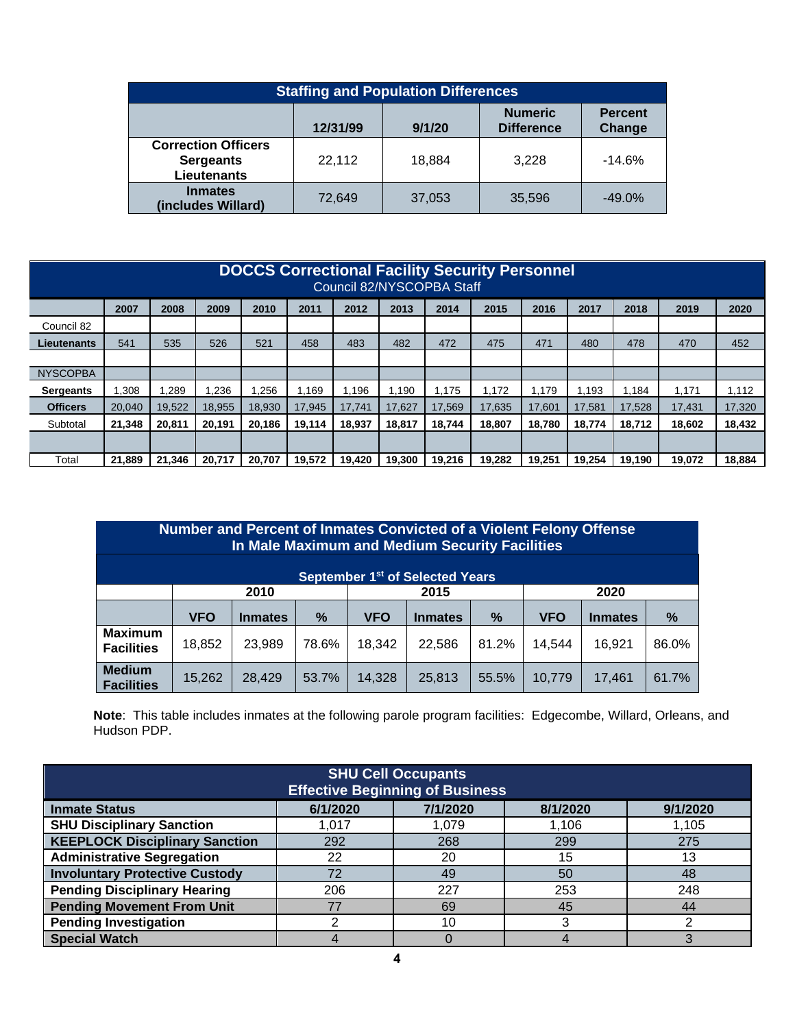| <b>Staffing and Population Differences</b>                           |          |        |                                     |                          |  |  |  |
|----------------------------------------------------------------------|----------|--------|-------------------------------------|--------------------------|--|--|--|
|                                                                      | 12/31/99 | 9/1/20 | <b>Numeric</b><br><b>Difference</b> | <b>Percent</b><br>Change |  |  |  |
| <b>Correction Officers</b><br><b>Sergeants</b><br><b>Lieutenants</b> | 22,112   | 18.884 | 3.228                               | $-14.6%$                 |  |  |  |
| <b>Inmates</b><br>(includes Willard)                                 | 72,649   | 37,053 | 35,596                              | $-49.0%$                 |  |  |  |

|                  | <b>DOCCS Correctional Facility Security Personnel</b><br>Council 82/NYSCOPBA Staff |        |        |        |        |        |        |        |        |        |        |        |        |        |
|------------------|------------------------------------------------------------------------------------|--------|--------|--------|--------|--------|--------|--------|--------|--------|--------|--------|--------|--------|
|                  | 2007                                                                               | 2008   | 2009   | 2010   | 2011   | 2012   | 2013   | 2014   | 2015   | 2016   | 2017   | 2018   | 2019   | 2020   |
| Council 82       |                                                                                    |        |        |        |        |        |        |        |        |        |        |        |        |        |
| Lieutenants      | 541                                                                                | 535    | 526    | 521    | 458    | 483    | 482    | 472    | 475    | 471    | 480    | 478    | 470    | 452    |
|                  |                                                                                    |        |        |        |        |        |        |        |        |        |        |        |        |        |
| <b>NYSCOPBA</b>  |                                                                                    |        |        |        |        |        |        |        |        |        |        |        |        |        |
| <b>Sergeants</b> | .308                                                                               | 1,289  | .236   | .256   | .169   | 1.196  | 1.190  | .175   | .172   | 1.179  | 1.193  | .184   | 1.171  | 1.112  |
| <b>Officers</b>  | 20.040                                                                             | 19,522 | 18.955 | 18.930 | 17.945 | 17.741 | 17.627 | 17.569 | 17.635 | 17,601 | 17.581 | 17.528 | 17.431 | 17,320 |
| Subtotal         | 21,348                                                                             | 20,811 | 20,191 | 20,186 | 19,114 | 18.937 | 18,817 | 18.744 | 18.807 | 18.780 | 18,774 | 18.712 | 18,602 | 18,432 |
|                  |                                                                                    |        |        |        |        |        |        |        |        |        |        |        |        |        |
| Total            | 21.889                                                                             | 21.346 | 20.717 | 20.707 | 19.572 | 19.420 | 19.300 | 19.216 | 19.282 | 19.251 | 19.254 | 19.190 | 19.072 | 18,884 |

| Number and Percent of Inmates Convicted of a Violent Felony Offense<br>In Male Maximum and Medium Security Facilities |            |                |       |            |                |       |            |                |       |
|-----------------------------------------------------------------------------------------------------------------------|------------|----------------|-------|------------|----------------|-------|------------|----------------|-------|
| September 1 <sup>st</sup> of Selected Years                                                                           |            |                |       |            |                |       |            |                |       |
|                                                                                                                       | 2010       |                |       |            | 2015           |       | 2020       |                |       |
|                                                                                                                       |            |                |       |            |                |       |            |                |       |
|                                                                                                                       | <b>VFO</b> | <b>Inmates</b> | %     | <b>VFO</b> | <b>Inmates</b> | $\%$  | <b>VFO</b> | <b>Inmates</b> | %     |
| <b>Maximum</b><br><b>Facilities</b>                                                                                   | 18,852     | 23,989         | 78.6% | 18,342     | 22,586         | 81.2% | 14,544     | 16.921         | 86.0% |

**Note**: This table includes inmates at the following parole program facilities: Edgecombe, Willard, Orleans, and Hudson PDP.

| <b>SHU Cell Occupants</b><br><b>Effective Beginning of Business</b>  |       |       |       |       |  |  |  |  |
|----------------------------------------------------------------------|-------|-------|-------|-------|--|--|--|--|
| 6/1/2020<br>7/1/2020<br>9/1/2020<br><b>Inmate Status</b><br>8/1/2020 |       |       |       |       |  |  |  |  |
| <b>SHU Disciplinary Sanction</b>                                     | 1,017 | 1,079 | 1,106 | 1,105 |  |  |  |  |
| <b>KEEPLOCK Disciplinary Sanction</b>                                | 292   | 268   | 299   | 275   |  |  |  |  |
| <b>Administrative Segregation</b>                                    | 22    | 20    | 15    | 13    |  |  |  |  |
| <b>Involuntary Protective Custody</b>                                | 72    | 49    | 50    | 48    |  |  |  |  |
| <b>Pending Disciplinary Hearing</b>                                  | 206   | 227   | 253   | 248   |  |  |  |  |
| <b>Pending Movement From Unit</b>                                    | 77    | 69    | 45    | 44    |  |  |  |  |
| <b>Pending Investigation</b>                                         |       | 10    |       |       |  |  |  |  |
| <b>Special Watch</b>                                                 |       |       |       |       |  |  |  |  |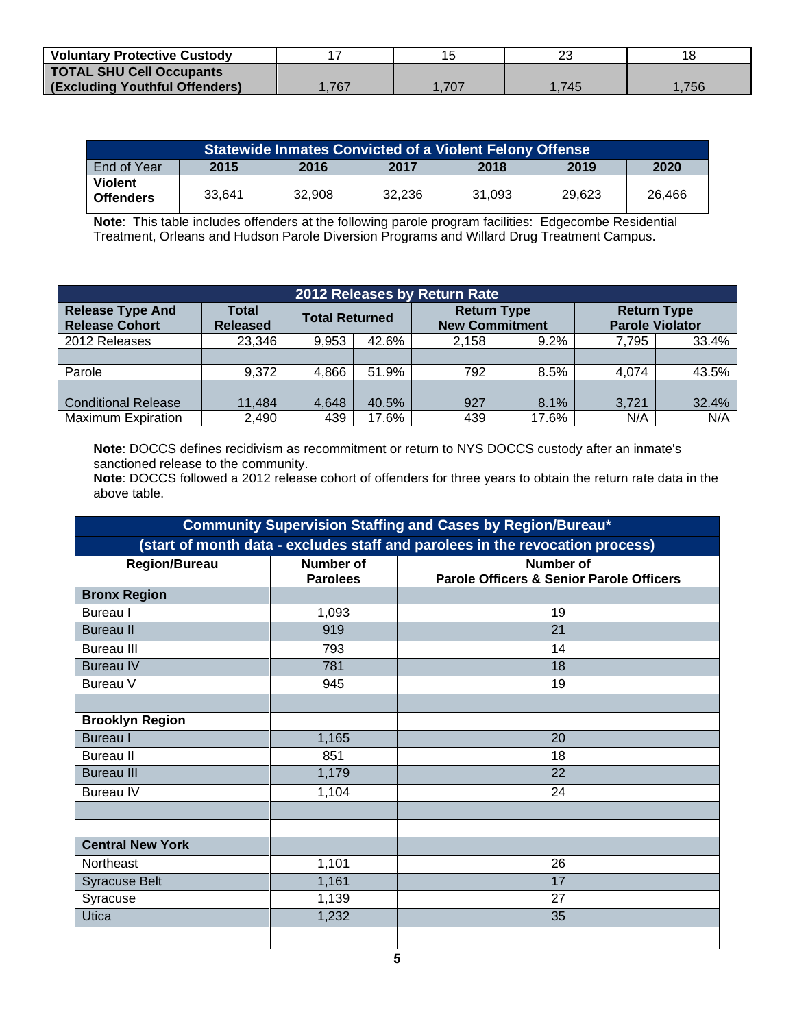| <b>Voluntary Protective Custody</b>   |      |      | ົ    | ء 1  |
|---------------------------------------|------|------|------|------|
| <b>TOTAL SHU Cell Occupants</b>       |      |      |      |      |
| <b>(Excluding Youthful Offenders)</b> | .767 | .707 | .745 | .756 |

| <b>Statewide Inmates Convicted of a Violent Felony Offense</b> |        |        |        |        |        |        |  |
|----------------------------------------------------------------|--------|--------|--------|--------|--------|--------|--|
| End of Year                                                    | 2015   | 2016   | 2017   | 2018   | 2019   | 2020   |  |
| <b>Violent</b><br><b>Offenders</b>                             | 33.641 | 32.908 | 32.236 | 31.093 | 29.623 | 26.466 |  |

**Note**: This table includes offenders at the following parole program facilities: Edgecombe Residential Treatment, Orleans and Hudson Parole Diversion Programs and Willard Drug Treatment Campus.

| 2012 Releases by Return Rate                     |                                 |                       |       |                       |                    |                                              |       |
|--------------------------------------------------|---------------------------------|-----------------------|-------|-----------------------|--------------------|----------------------------------------------|-------|
| <b>Release Type And</b><br><b>Release Cohort</b> | <b>Total</b><br><b>Released</b> | <b>Total Returned</b> |       | <b>New Commitment</b> | <b>Return Type</b> | <b>Return Type</b><br><b>Parole Violator</b> |       |
| 2012 Releases                                    | 23,346                          | 9.953                 | 42.6% | 2.158                 | 9.2%               | 7.795                                        | 33.4% |
|                                                  |                                 |                       |       |                       |                    |                                              |       |
| Parole                                           | 9,372                           | 4.866                 | 51.9% | 792                   | 8.5%               | 4.074                                        | 43.5% |
|                                                  |                                 |                       |       |                       |                    |                                              |       |
| <b>Conditional Release</b>                       | 11.484                          | 4,648                 | 40.5% | 927                   | 8.1%               | 3.721                                        | 32.4% |
| <b>Maximum Expiration</b>                        | 2,490                           | 439                   | 17.6% | 439                   | 17.6%              | N/A                                          | N/A   |

**Note**: DOCCS defines recidivism as recommitment or return to NYS DOCCS custody after an inmate's sanctioned release to the community.

**Note**: DOCCS followed a 2012 release cohort of offenders for three years to obtain the return rate data in the above table.

| Community Supervision Staffing and Cases by Region/Bureau* |                              |                                                                               |  |  |  |  |  |  |
|------------------------------------------------------------|------------------------------|-------------------------------------------------------------------------------|--|--|--|--|--|--|
|                                                            |                              | (start of month data - excludes staff and parolees in the revocation process) |  |  |  |  |  |  |
| <b>Region/Bureau</b>                                       | Number of<br><b>Parolees</b> | <b>Number of</b><br><b>Parole Officers &amp; Senior Parole Officers</b>       |  |  |  |  |  |  |
| <b>Bronx Region</b>                                        |                              |                                                                               |  |  |  |  |  |  |
| Bureau I                                                   | 1,093                        | 19                                                                            |  |  |  |  |  |  |
| <b>Bureau II</b>                                           | 919                          | 21                                                                            |  |  |  |  |  |  |
| <b>Bureau III</b>                                          | 793                          | 14                                                                            |  |  |  |  |  |  |
| <b>Bureau IV</b>                                           | 781                          | 18                                                                            |  |  |  |  |  |  |
| Bureau V                                                   | 945                          | 19                                                                            |  |  |  |  |  |  |
|                                                            |                              |                                                                               |  |  |  |  |  |  |
| <b>Brooklyn Region</b>                                     |                              |                                                                               |  |  |  |  |  |  |
| <b>Bureau</b> I                                            | 1,165                        | 20                                                                            |  |  |  |  |  |  |
| <b>Bureau II</b>                                           | 851                          | 18                                                                            |  |  |  |  |  |  |
| <b>Bureau III</b>                                          | 1,179                        | 22                                                                            |  |  |  |  |  |  |
| <b>Bureau IV</b>                                           | 1,104                        | 24                                                                            |  |  |  |  |  |  |
|                                                            |                              |                                                                               |  |  |  |  |  |  |
|                                                            |                              |                                                                               |  |  |  |  |  |  |
| <b>Central New York</b>                                    |                              |                                                                               |  |  |  |  |  |  |
| <b>Northeast</b>                                           | 1,101                        | 26                                                                            |  |  |  |  |  |  |
| <b>Syracuse Belt</b>                                       | 1,161                        | 17                                                                            |  |  |  |  |  |  |
| Syracuse                                                   | 1,139                        | 27                                                                            |  |  |  |  |  |  |
| <b>Utica</b>                                               | 1,232                        | 35                                                                            |  |  |  |  |  |  |
|                                                            |                              |                                                                               |  |  |  |  |  |  |